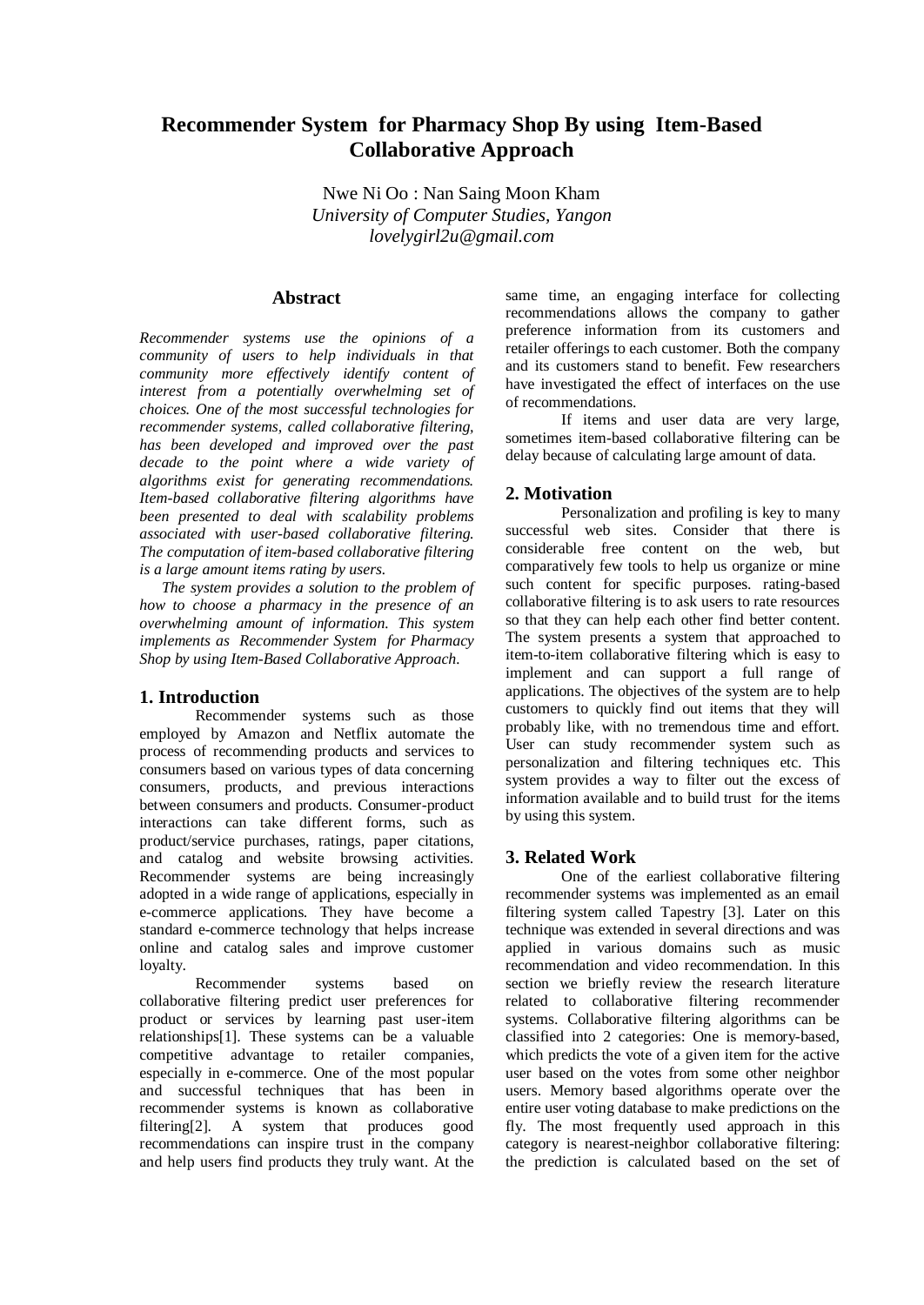# **Recommender System for Pharmacy Shop By using Item-Based Collaborative Approach**

Nwe Ni Oo : Nan Saing Moon Kham *University of Computer Studies, Yangon [lovelygirl2u@gmail.com](mailto:lovelygirl2u@gmail.com)*

### **Abstract**

*Recommender systems use the opinions of a community of users to help individuals in that community more effectively identify content of interest from a potentially overwhelming set of choices. One of the most successful technologies for recommender systems, called collaborative filtering, has been developed and improved over the past decade to the point where a wide variety of algorithms exist for generating recommendations. Item-based collaborative filtering algorithms have been presented to deal with scalability problems associated with user-based collaborative filtering. The computation of item-based collaborative filtering is a large amount items rating by users.* 

*The system provides a solution to the problem of how to choose a pharmacy in the presence of an overwhelming amount of information. This system implements as Recommender System for Pharmacy Shop by using Item-Based Collaborative Approach.* 

### **1. Introduction**

Recommender systems such as those employed by Amazon and Netflix automate the process of recommending products and services to consumers based on various types of data concerning consumers, products, and previous interactions between consumers and products. Consumer-product interactions can take different forms, such as product/service purchases, ratings, paper citations, and catalog and website browsing activities. Recommender systems are being increasingly adopted in a wide range of applications, especially in e-commerce applications. They have become a standard e-commerce technology that helps increase online and catalog sales and improve customer loyalty.

Recommender systems based on collaborative filtering predict user preferences for product or services by learning past user-item relationships[1]. These systems can be a valuable competitive advantage to retailer companies, especially in e-commerce. One of the most popular and successful techniques that has been in recommender systems is known as collaborative filtering[2]. A system that produces good recommendations can inspire trust in the company and help users find products they truly want. At the same time, an engaging interface for collecting recommendations allows the company to gather preference information from its customers and retailer offerings to each customer. Both the company and its customers stand to benefit. Few researchers have investigated the effect of interfaces on the use of recommendations.

If items and user data are very large, sometimes item-based collaborative filtering can be delay because of calculating large amount of data.

### **2. Motivation**

Personalization and profiling is key to many successful web sites. Consider that there is considerable free content on the web, but comparatively few tools to help us organize or mine such content for specific purposes. rating-based collaborative filtering is to ask users to rate resources so that they can help each other find better content. The system presents a system that approached to item-to-item collaborative filtering which is easy to implement and can support a full range of applications. The objectives of the system are to help customers to quickly find out items that they will probably like, with no tremendous time and effort. User can study recommender system such as personalization and filtering techniques etc. This system provides a way to filter out the excess of information available and to build trust for the items by using this system.

## **3. Related Work**

One of the earliest collaborative filtering recommender systems was implemented as an email filtering system called Tapestry [3]. Later on this technique was extended in several directions and was applied in various domains such as music recommendation and video recommendation. In this section we briefly review the research literature related to collaborative filtering recommender systems. Collaborative filtering algorithms can be classified into 2 categories: One is memory-based, which predicts the vote of a given item for the active user based on the votes from some other neighbor users. Memory based algorithms operate over the entire user voting database to make predictions on the fly. The most frequently used approach in this category is nearest-neighbor collaborative filtering: the prediction is calculated based on the set of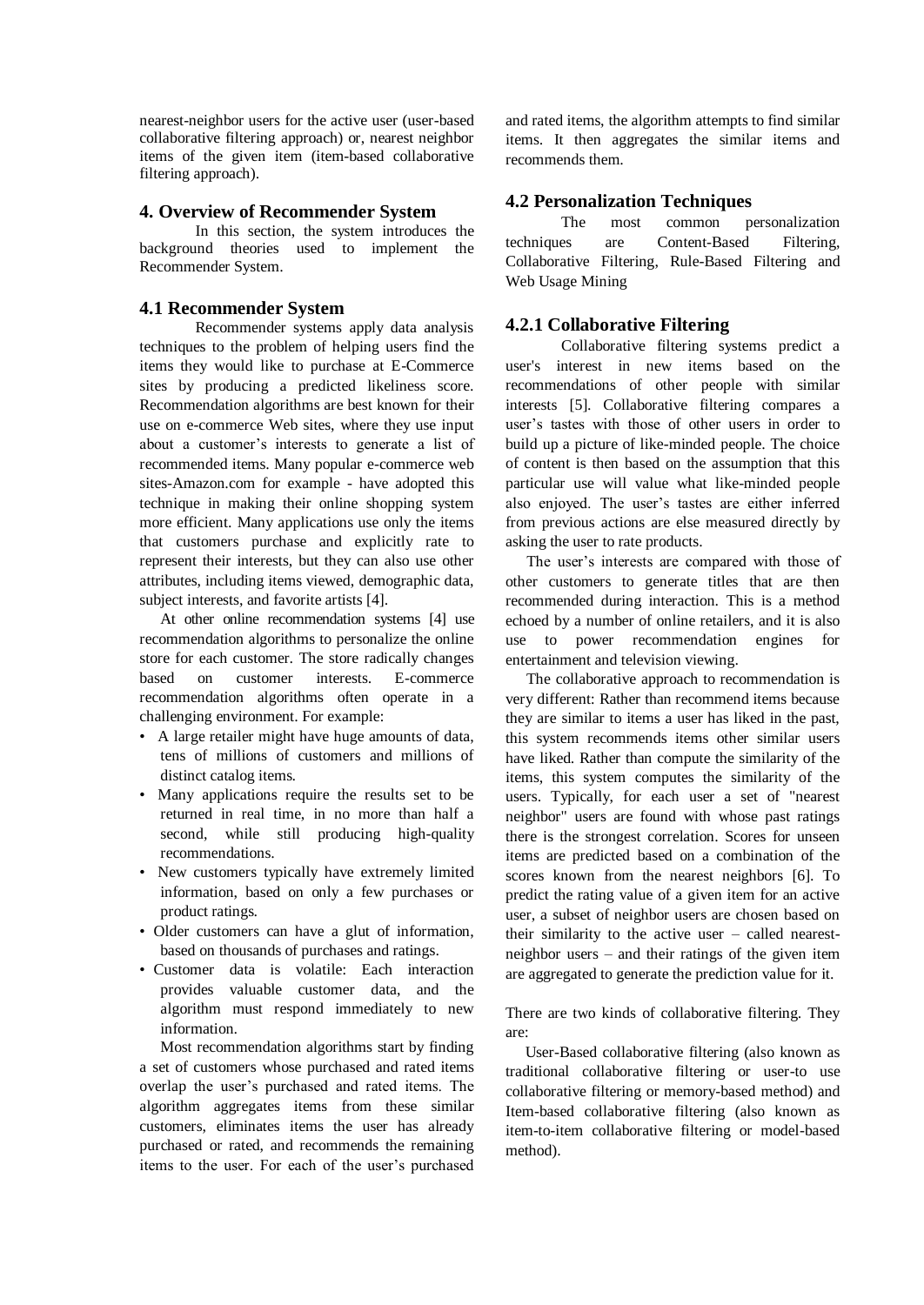nearest-neighbor users for the active user (user-based collaborative filtering approach) or, nearest neighbor items of the given item (item-based collaborative filtering approach).

#### **4. Overview of Recommender System**

In this section, the system introduces the background theories used to implement the Recommender System.

### **4.1 Recommender System**

Recommender systems apply data analysis techniques to the problem of helping users find the items they would like to purchase at E-Commerce sites by producing a predicted likeliness score. Recommendation algorithms are best known for their use on e-commerce Web sites, where they use input about a customer's interests to generate a list of recommended items. Many popular e-commerce web sites-Amazon.com for example - have adopted this technique in making their online shopping system more efficient. Many applications use only the items that customers purchase and explicitly rate to represent their interests, but they can also use other attributes, including items viewed, demographic data, subject interests, and favorite artists [4].

At other online recommendation systems [4] use recommendation algorithms to personalize the online store for each customer. The store radically changes based on customer interests. E-commerce recommendation algorithms often operate in a challenging environment. For example:

- A large retailer might have huge amounts of data, tens of millions of customers and millions of distinct catalog items.
- Many applications require the results set to be returned in real time, in no more than half a second, while still producing high-quality recommendations.
- New customers typically have extremely limited information, based on only a few purchases or product ratings.
- Older customers can have a glut of information, based on thousands of purchases and ratings.
- Customer data is volatile: Each interaction provides valuable customer data, and the algorithm must respond immediately to new information.

Most recommendation algorithms start by finding a set of customers whose purchased and rated items overlap the user's purchased and rated items. The algorithm aggregates items from these similar customers, eliminates items the user has already purchased or rated, and recommends the remaining items to the user. For each of the user's purchased

and rated items, the algorithm attempts to find similar items. It then aggregates the similar items and recommends them.

## **4.2 Personalization Techniques**

The most common personalization techniques are Content-Based Filtering, Collaborative Filtering, Rule-Based Filtering and Web Usage Mining

## **4.2.1 Collaborative Filtering**

Collaborative filtering systems predict a user's interest in new items based on the recommendations of other people with similar interests [5]. Collaborative filtering compares a user's tastes with those of other users in order to build up a picture of like-minded people. The choice of content is then based on the assumption that this particular use will value what like-minded people also enjoyed. The user's tastes are either inferred from previous actions are else measured directly by asking the user to rate products.

The user's interests are compared with those of other customers to generate titles that are then recommended during interaction. This is a method echoed by a number of online retailers, and it is also use to power recommendation engines for entertainment and television viewing.

The collaborative approach to recommendation is very different: Rather than recommend items because they are similar to items a user has liked in the past, this system recommends items other similar users have liked. Rather than compute the similarity of the items, this system computes the similarity of the users. Typically, for each user a set of "nearest neighbor" users are found with whose past ratings there is the strongest correlation. Scores for unseen items are predicted based on a combination of the scores known from the nearest neighbors [6]. To predict the rating value of a given item for an active user, a subset of neighbor users are chosen based on their similarity to the active user – called nearestneighbor users – and their ratings of the given item are aggregated to generate the prediction value for it.

There are two kinds of collaborative filtering. They are:

 User-Based collaborative filtering (also known as traditional collaborative filtering or user-to use collaborative filtering or memory-based method) and Item-based collaborative filtering (also known as item-to-item collaborative filtering or model-based method).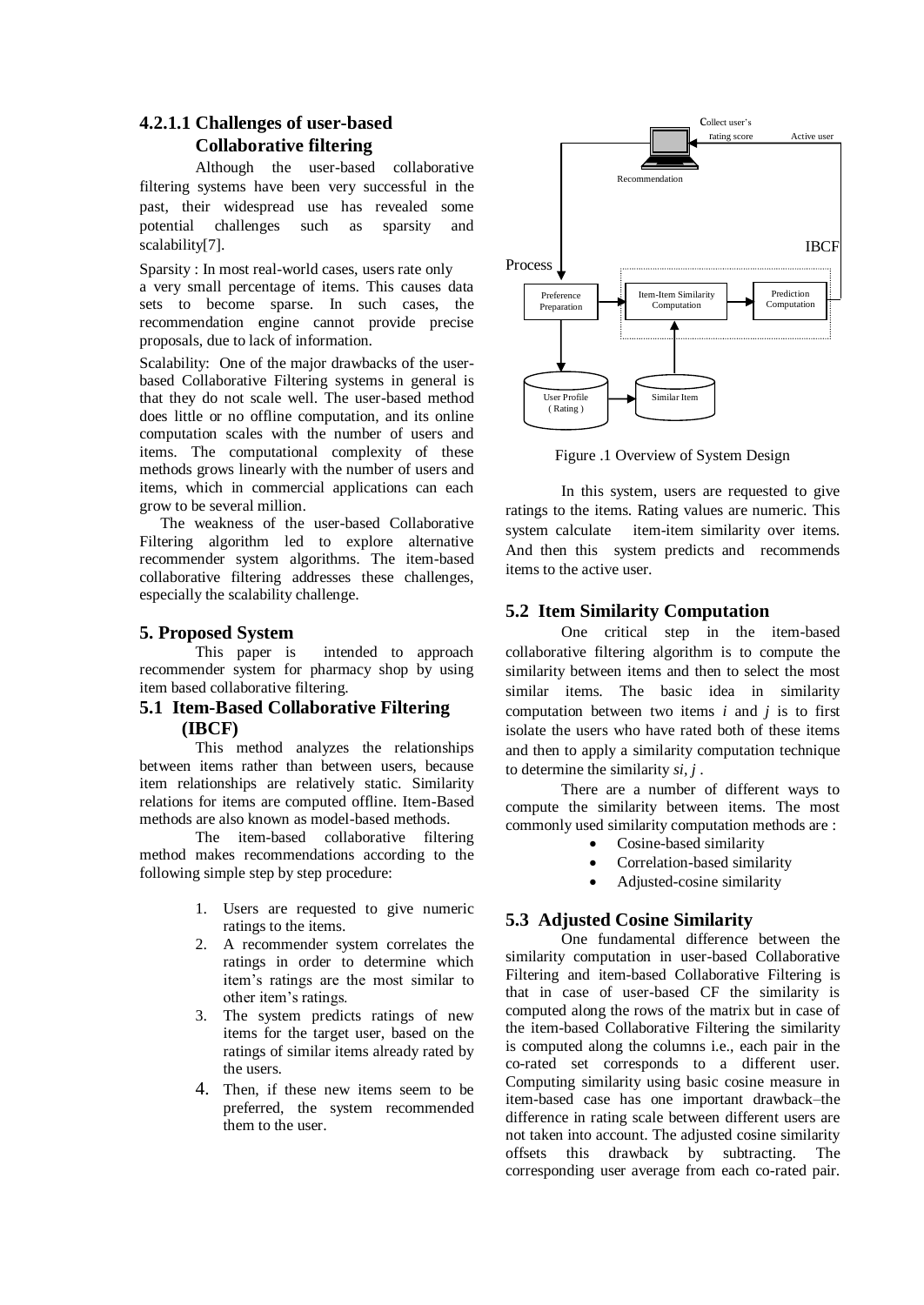# **4.2.1.1 Challenges of user-based Collaborative filtering**

Although the user-based collaborative filtering systems have been very successful in the past, their widespread use has revealed some potential challenges such as sparsity and scalability[7].

Sparsity : In most real-world cases, users rate only a very small percentage of items. This causes data sets to become sparse. In such cases, the recommendation engine cannot provide precise proposals, due to lack of information.

Scalability: One of the major drawbacks of the userbased Collaborative Filtering systems in general is that they do not scale well. The user-based method does little or no offline computation, and its online computation scales with the number of users and items. The computational complexity of these methods grows linearly with the number of users and items, which in commercial applications can each grow to be several million.

The weakness of the user-based Collaborative Filtering algorithm led to explore alternative recommender system algorithms. The item-based collaborative filtering addresses these challenges, especially the scalability challenge.

## **5. Proposed System**

This paper is intended to approach recommender system for pharmacy shop by using item based collaborative filtering.

## **5.1 Item-Based Collaborative Filtering (IBCF)**

This method analyzes the relationships between items rather than between users, because item relationships are relatively static. Similarity relations for items are computed offline. Item-Based methods are also known as model-based methods.

The item-based collaborative filtering method makes recommendations according to the following simple step by step procedure:

- 1. Users are requested to give numeric ratings to the items.
- 2. A recommender system correlates the ratings in order to determine which item's ratings are the most similar to other item's ratings.
- 3. The system predicts ratings of new items for the target user, based on the ratings of similar items already rated by the users.
- 4. Then, if these new items seem to be preferred, the system recommended them to the user.



Figure .1 Overview of System Design

In this system, users are requested to give ratings to the items. Rating values are numeric. This system calculate item-item similarity over items. And then this system predicts and recommends items to the active user.

## **5.2 Item Similarity Computation**

One critical step in the item-based collaborative filtering algorithm is to compute the similarity between items and then to select the most similar items. The basic idea in similarity computation between two items *i* and *j* is to first isolate the users who have rated both of these items and then to apply a similarity computation technique to determine the similarity *si, j* .

There are a number of different ways to compute the similarity between items. The most commonly used similarity computation methods are :

- Cosine-based similarity
- Correlation-based similarity
- Adjusted-cosine similarity

## **5.3 Adjusted Cosine Similarity**

One fundamental difference between the similarity computation in user-based Collaborative Filtering and item-based Collaborative Filtering is that in case of user-based CF the similarity is computed along the rows of the matrix but in case of the item-based Collaborative Filtering the similarity is computed along the columns i.e., each pair in the co-rated set corresponds to a different user. Computing similarity using basic cosine measure in item-based case has one important drawback–the difference in rating scale between different users are not taken into account. The adjusted cosine similarity offsets this drawback by subtracting. The corresponding user average from each co-rated pair.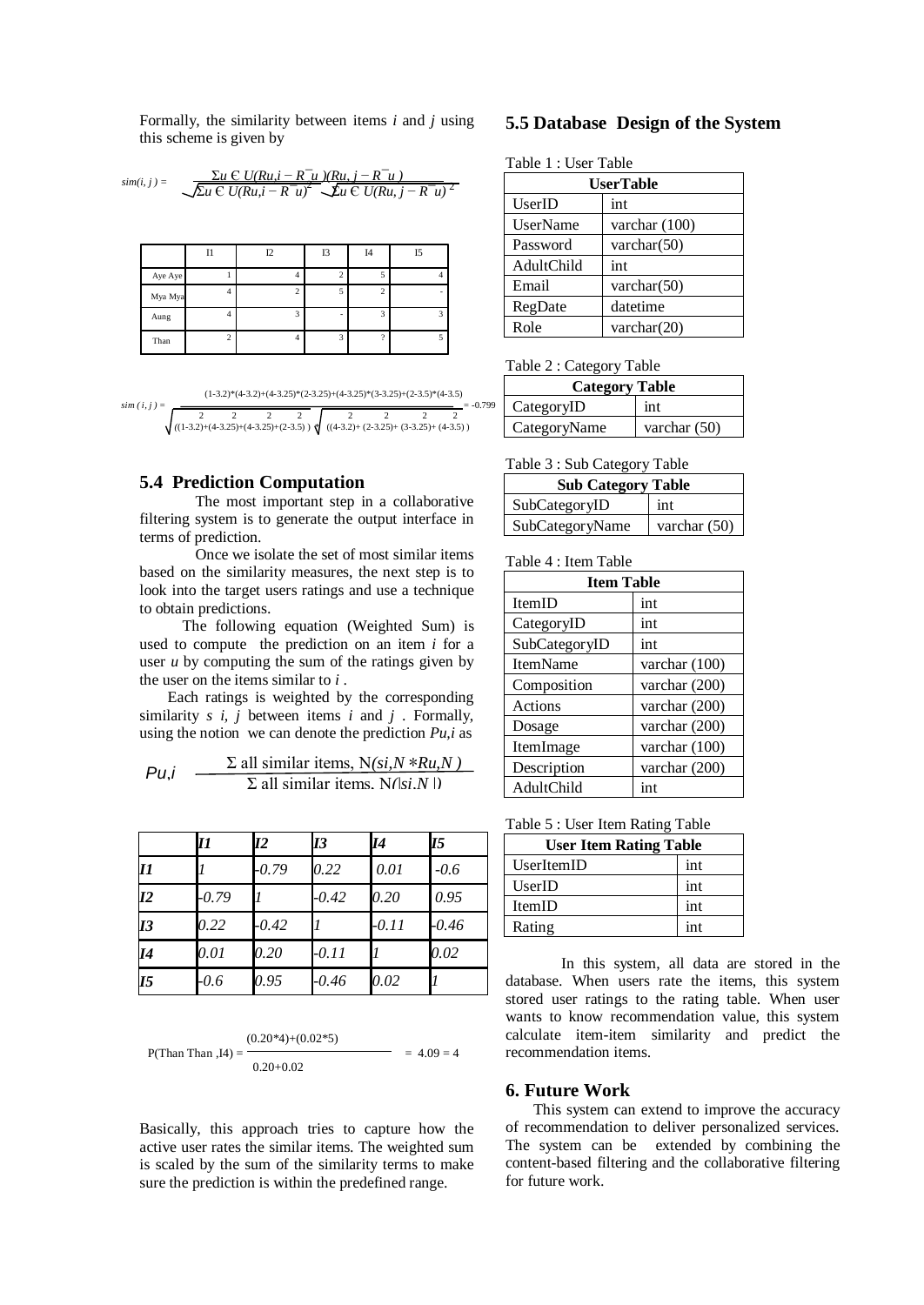Formally, the similarity between items *i* and *j* using this scheme is given by

$$
sim(i, j) = \frac{\sum_{u \in U(Ru, i - R^-u)}(Ru, i - R^-u)}{\sqrt{\sum_{u \in U}(Ru, i - R^-u)^2} \sum_{u \in U(Ru, j - R^-u)} 2}
$$

|         | 11             | 12 | I3 | I <sub>4</sub> | I5 |
|---------|----------------|----|----|----------------|----|
| Aye Aye |                | 4  |    |                | 4  |
| Mya Mya | 4              |    |    | 2              |    |
| Aung    | $\overline{4}$ | h  | -  | $\overline{a}$ | 3  |
| Than    | $\overline{c}$ | 4  | o  | $\Omega$       | 5  |

$$
sim(i, j) = \frac{(1-3.2)^*(4-3.25)^*(2-3.25)^*(4-3.25)^*(3-3.25)+(4-3.25)^*(4-3.5)}{\sqrt{\frac{2}{((1-3.2)^*(4-3.25)^{+(4-3.25)^*(4-3.25)})}\sqrt{\frac{2}{((4-3.2)^*(4-3.25)^{+(4-3.25)^+(4-3.25)^+(4-3.25)^+}}}} - 0.799
$$

### **5.4 Prediction Computation**

The most important step in a collaborative filtering system is to generate the output interface in terms of prediction.

Once we isolate the set of most similar items based on the similarity measures, the next step is to look into the target users ratings and use a technique to obtain predictions.

 The following equation (Weighted Sum) is used to compute the prediction on an item *i* for a user *u* by computing the sum of the ratings given by the user on the items similar to *i* .

Each ratings is weighted by the corresponding similarity *s i, j* between items *i* and *j* . Formally, using the notion we can denote the prediction *Pu,i* as

$$
Pu, i \quad \frac{\Sigma \text{ all similar items, } N(si, N * Ru, N)}{\Sigma \text{ all similar items, } N(|si, N|)}
$$

|                | 11      | <i><b>I2</b></i> | <b>I</b> 3 | 14      | <b>I5</b> |
|----------------|---------|------------------|------------|---------|-----------|
| 11             |         | $-0.79$          | 0.22       | 0.01    | $-0.6$    |
| I2             | $-0.79$ |                  | $-0.42$    | 0.20    | 0.95      |
| I3             | 0.22    | $-0.42$          |            | $-0.11$ | $-0.46$   |
| 14             | 0.01    | 0.20             | $-0.11$    |         | 0.02      |
| I <sub>5</sub> | $-0.6$  | 0.95             | -0.46      | 0.02    |           |

P(Than Than, I4) = 
$$
\frac{(0.20*4) + (0.02*5)}{0.20 + 0.02} = 4.09 = 4
$$

Basically, this approach tries to capture how the active user rates the similar items. The weighted sum is scaled by the sum of the similarity terms to make sure the prediction is within the predefined range.

### **5.5 Database Design of the System**

| Table 1 : User Table |  |  |
|----------------------|--|--|
|----------------------|--|--|

| <b>UserTable</b> |                 |  |  |
|------------------|-----------------|--|--|
| UserID           | int             |  |  |
| UserName         | varchar $(100)$ |  |  |
| Password         | varchar $(50)$  |  |  |
| AdultChild       | int             |  |  |
| Email            | varchar $(50)$  |  |  |
| RegDate          | datetime        |  |  |
| Role             | varchar $(20)$  |  |  |

Table 2 : Category Table

| <b>Category Table</b> |                |  |  |  |
|-----------------------|----------------|--|--|--|
| CategoryID            | int            |  |  |  |
| CategoryName          | varchar $(50)$ |  |  |  |

#### Table 3 : Sub Category Table

| <b>Sub Category Table</b> |                |  |  |
|---------------------------|----------------|--|--|
| SubCategoryID             | int            |  |  |
| SubCategoryName           | varchar $(50)$ |  |  |

#### Table 4 : Item Table

| <b>Item Table</b> |               |  |  |
|-------------------|---------------|--|--|
| <b>ItemID</b>     | int           |  |  |
| CategoryID        | int           |  |  |
| SubCategoryID     | int           |  |  |
| <b>ItemName</b>   | varchar (100) |  |  |
| Composition       | varchar (200) |  |  |
| Actions           | varchar (200) |  |  |
| Dosage            | varchar (200) |  |  |
| ItemImage         | varchar (100) |  |  |
| Description       | varchar (200) |  |  |
| AdultChild        | int           |  |  |

| Table 5 : User Item Rating Table |  |  |  |  |
|----------------------------------|--|--|--|--|
|----------------------------------|--|--|--|--|

| <b>User Item Rating Table</b> |     |  |
|-------------------------------|-----|--|
| UserItemID                    | int |  |
| UserID                        | int |  |
| <b>ItemID</b>                 | int |  |
| Rating                        | int |  |

In this system, all data are stored in the database. When users rate the items, this system stored user ratings to the rating table. When user wants to know recommendation value, this system calculate item-item similarity and predict the recommendation items.

#### **6. Future Work**

This system can extend to improve the accuracy of recommendation to deliver personalized services. The system can be extended by combining the content-based filtering and the collaborative filtering for future work.